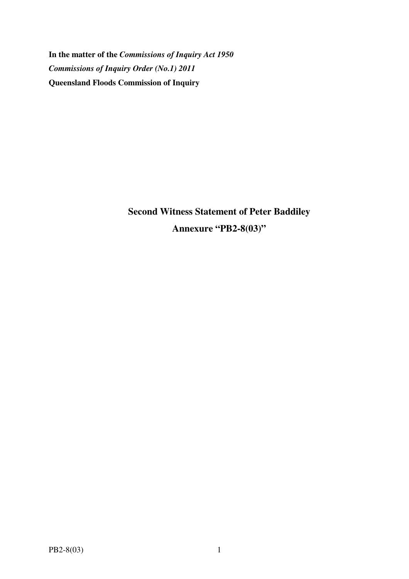**In the matter of the** *Commissions of Inquiry Act 1950 Commissions of Inquiry Order (No.1) 2011* **Queensland Floods Commission of Inquiry** 

> **Second Witness Statement of Peter Baddiley Annexure "PB2-8(03)"**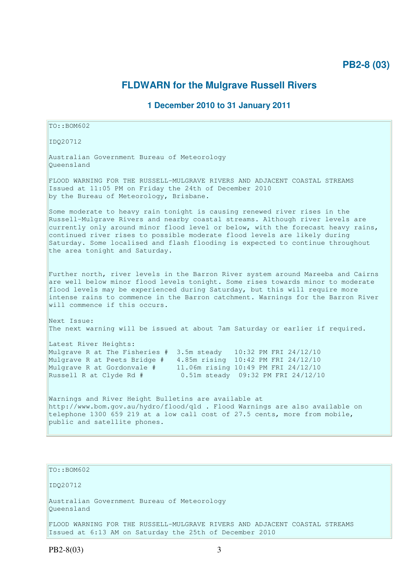## **PB2-8 (03)**

## **FLDWARN for the Mulgrave Russell Rivers**

## **1 December 2010 to 31 January 2011**

 $TO: **ROM602**$ 

IDQ20712

Australian Government Bureau of Meteorology Queensland

FLOOD WARNING FOR THE RUSSELL-MULGRAVE RIVERS AND ADJACENT COASTAL STREAMS Issued at 11:05 PM on Friday the 24th of December 2010 by the Bureau of Meteorology, Brisbane.

Some moderate to heavy rain tonight is causing renewed river rises in the Russell-Mulgrave Rivers and nearby coastal streams. Although river levels are currently only around minor flood level or below, with the forecast heavy rains, continued river rises to possible moderate flood levels are likely during Saturday. Some localised and flash flooding is expected to continue throughout the area tonight and Saturday.

Further north, river levels in the Barron River system around Mareeba and Cairns are well below minor flood levels tonight. Some rises towards minor to moderate flood levels may be experienced during Saturday, but this will require more intense rains to commence in the Barron catchment. Warnings for the Barron River will commence if this occurs.

Next Issue: The next warning will be issued at about 7am Saturday or earlier if required.

Latest River Heights: Mulgrave R at The Fisheries # 3.5m steady 10:32 PM FRI 24/12/10 Mulgrave R at Peets Bridge # 4.85m rising 10:42 PM FRI 24/12/10 Mulgrave R at Gordonvale # 11.06m rising 10:49 PM FRI 24/12/10 Russell R at Clyde Rd # 0.51m steady 09:32 PM FRI 24/12/10

Warnings and River Height Bulletins are available at http://www.bom.gov.au/hydro/flood/qld . Flood Warnings are also available on telephone 1300 659 219 at a low call cost of 27.5 cents, more from mobile, public and satellite phones.

TO::BOM602

IDQ20712

Australian Government Bureau of Meteorology Queensland

FLOOD WARNING FOR THE RUSSELL-MULGRAVE RIVERS AND ADJACENT COASTAL STREAMS Issued at 6:13 AM on Saturday the 25th of December 2010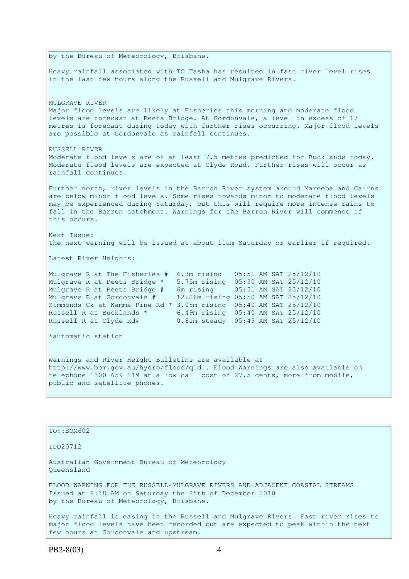by the Bureau of Meteorology, Brisbane. Heavy rainfall associated with TC Tasha has resulted in fast river level rises in the last few hours along the Russell and Mulgrave Rivers. MULGRAVE RIVER Major flood levels are likely at Fisheries this morning and moderate flood levels are forecast at Peets Bridge. At Gordonvale, a level in excess of 13 metres is forecast during today with further rises occurring. Major flood levels are possible at Gordonvale as rainfall continues. RUSSELL RIVER Moderate flood levels are of at least 7.5 metres predicted for Bucklands today. Moderate flood levels are expected at Clyde Road. Further rises will occur as rainfall continues. Further north, river levels in the Barron River system around Mareeba and Cairns are below minor flood levels. Some rises towards minor to moderate flood levels may be experienced during Saturday, but this will require more intense rains to fall in the Barron catchment. Warnings for the Barron River will commence if this occurs. Next Issue: The next warning will be issued at about 11am Saturday or earlier if required. Latest River Heights: Mulgrave R at The Fisheries # 6.3m rising 05:51 AM SAT 25/12/10 Mulgrave R at Peets Bridge \* 5.75m rising 05:30 AM SAT 25/12/10 Mulgrave R at Peets Bridge # 6m rising 05:51 AM SAT 25/12/10 Mulgrave R at Gordonvale # 12.26m rising 05:50 AM SAT 25/12/10 Simmonds Ck at Kamma Pine Rd \* 3.08m rising 05:40 AM SAT 25/12/10 Russell R at Bucklands  $*$  6.49m rising 05:40 AM SAT 25/12/10 Russell R at Clyde Rd# 0.81m steady 05:49 AM SAT 25/12/10 \*automatic station Warnings and River Height Bulletins are available at http://www.bom.gov.au/hydro/flood/qld . Flood Warnings are also available on telephone 1300 659 219 at a low call cost of 27.5 cents, more from mobile, public and satellite phones. TO::BOM602 IDQ20712

Australian Government Bureau of Meteorology Queensland

FLOOD WARNING FOR THE RUSSELL-MULGRAVE RIVERS AND ADJACENT COASTAL STREAMS Issued at 8:18 AM on Saturday the 25th of December 2010 by the Bureau of Meteorology, Brisbane.

Heavy rainfall is easing in the Russell and Mulgrave Rivers. Fast river rises to major flood levels have been recorded but are expected to peak within the next few hours at Gordonvale and upstream.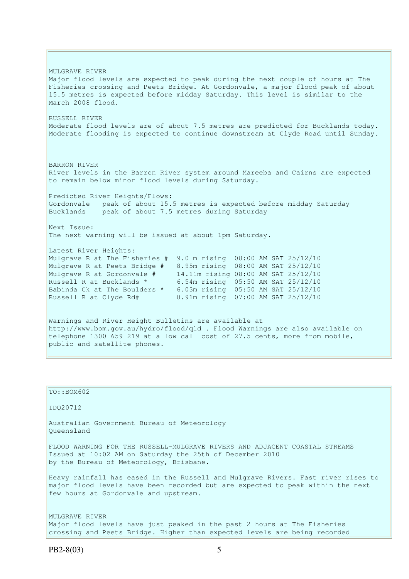MULGRAVE RIVER Major flood levels are expected to peak during the next couple of hours at The Fisheries crossing and Peets Bridge. At Gordonvale, a major flood peak of about 15.5 metres is expected before midday Saturday. This level is similar to the March 2008 flood. RUSSELL RIVER Moderate flood levels are of about 7.5 metres are predicted for Bucklands today. Moderate flooding is expected to continue downstream at Clyde Road until Sunday. BARRON RIVER River levels in the Barron River system around Mareeba and Cairns are expected to remain below minor flood levels during Saturday. Predicted River Heights/Flows: Gordonvale peak of about 15.5 metres is expected before midday Saturday Bucklands peak of about 7.5 metres during Saturday Next Issue: The next warning will be issued at about 1pm Saturday. Latest River Heights: Mulgrave R at The Fisheries # 9.0 m rising 08:00 AM SAT 25/12/10 Mulgrave R at Peets Bridge # 8.95m rising 08:00 AM SAT 25/12/10 Mulgrave R at Gordonvale # 14.11m rising 08:00 AM SAT 25/12/10 Russell R at Bucklands \* 6.54m rising 05:50 AM SAT 25/12/10 Babinda Ck at The Boulders \* 6.03m rising 05:50 AM SAT 25/12/10 Russell R at Clyde Rd# 0.91m rising 07:00 AM SAT 25/12/10 Warnings and River Height Bulletins are available at http://www.bom.gov.au/hydro/flood/qld . Flood Warnings are also available on telephone 1300 659 219 at a low call cost of 27.5 cents, more from mobile, public and satellite phones.

| TO::BOM602                                                                                                                                                                                                  |
|-------------------------------------------------------------------------------------------------------------------------------------------------------------------------------------------------------------|
| ID020712                                                                                                                                                                                                    |
| Australian Government Bureau of Meteorology<br>Oueensland                                                                                                                                                   |
| FLOOD WARNING FOR THE RUSSELL-MULGRAVE RIVERS AND ADJACENT COASTAL STREAMS<br>Issued at 10:02 AM on Saturday the 25th of December 2010<br>by the Bureau of Meteorology, Brisbane.                           |
| Heavy rainfall has eased in the Russell and Mulgrave Rivers. Fast river rises to<br>major flood levels have been recorded but are expected to peak within the next<br>few hours at Gordonvale and upstream. |
| MULGRAVE RIVER<br>Major flood levels have just peaked in the past 2 hours at The Fisheries<br>crossing and Peets Bridge. Higher than expected levels are being recorded                                     |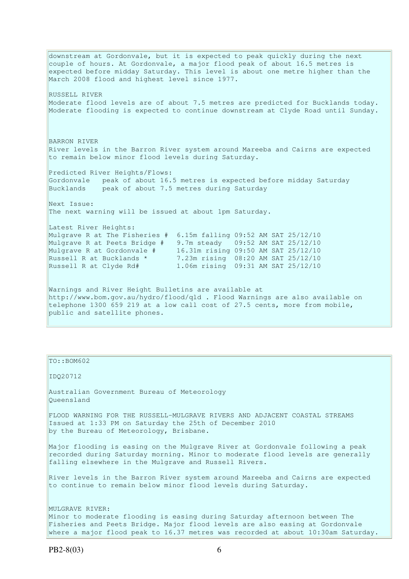downstream at Gordonvale, but it is expected to peak quickly during the next couple of hours. At Gordonvale, a major flood peak of about 16.5 metres is expected before midday Saturday. This level is about one metre higher than the March 2008 flood and highest level since 1977. RUSSELL RIVER Moderate flood levels are of about 7.5 metres are predicted for Bucklands today. Moderate flooding is expected to continue downstream at Clyde Road until Sunday. BARRON RIVER River levels in the Barron River system around Mareeba and Cairns are expected to remain below minor flood levels during Saturday. Predicted River Heights/Flows: Gordonvale peak of about 16.5 metres is expected before midday Saturday Bucklands peak of about 7.5 metres during Saturday Next Issue: The next warning will be issued at about 1pm Saturday. Latest River Heights: Mulgrave R at The Fisheries # 6.15m falling 09:52 AM SAT 25/12/10 Mulgrave R at Peets Bridge # 9.7m steady 09:52 AM SAT 25/12/10 Mulgrave R at Gordonvale # 16.31m rising 09:50 AM SAT 25/12/10 Russell R at Bucklands \* 7.23m rising 08:20 AM SAT 25/12/10 Russell R at Clyde Rd# 1.06m rising 09:31 AM SAT 25/12/10 Warnings and River Height Bulletins are available at http://www.bom.gov.au/hydro/flood/qld . Flood Warnings are also available on telephone 1300 659 219 at a low call cost of 27.5 cents, more from mobile, public and satellite phones.

## TO::BOM602

IDQ20712

Australian Government Bureau of Meteorology Queensland

FLOOD WARNING FOR THE RUSSELL-MULGRAVE RIVERS AND ADJACENT COASTAL STREAMS Issued at 1:33 PM on Saturday the 25th of December 2010 by the Bureau of Meteorology, Brisbane.

Major flooding is easing on the Mulgrave River at Gordonvale following a peak recorded during Saturday morning. Minor to moderate flood levels are generally falling elsewhere in the Mulgrave and Russell Rivers.

River levels in the Barron River system around Mareeba and Cairns are expected to continue to remain below minor flood levels during Saturday.

MULGRAVE RIVER: Minor to moderate flooding is easing during Saturday afternoon between The Fisheries and Peets Bridge. Major flood levels are also easing at Gordonvale where a major flood peak to 16.37 metres was recorded at about 10:30am Saturday.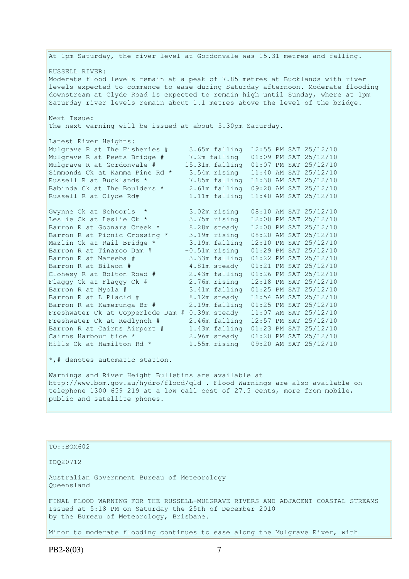At 1pm Saturday, the river level at Gordonvale was 15.31 metres and falling. RUSSELL RIVER: Moderate flood levels remain at a peak of 7.85 metres at Bucklands with river levels expected to commence to ease during Saturday afternoon. Moderate flooding downstream at Clyde Road is expected to remain high until Sunday, where at 1pm Saturday river levels remain about 1.1 metres above the level of the bridge. Next Issue: The next warning will be issued at about 5.30pm Saturday. Latest River Heights: Mulgrave R at The Fisheries # 3.65m falling 12:55 PM SAT 25/12/10 Mulgrave R at Peets Bridge # 7.2m falling 01:09 PM SAT 25/12/10 Mulgrave R at Gordonvale # 15.31m falling 01:07 PM SAT 25/12/10 Simmonds Ck at Kamma Pine Rd \* 3.54m rising 11:40 AM SAT 25/12/10 Russell R at Bucklands \* 7.85m falling 11:30 AM SAT 25/12/10 Babinda Ck at The Boulders \* 2.61m falling 09:20 AM SAT 25/12/10 Russell R at Clyde Rd# 1.11m falling 11:40 AM SAT 25/12/10 Gwynne Ck at Schoorls \* 3.02m rising 08:10 AM SAT 25/12/10 Leslie Ck at Leslie Ck \* 3.75m rising 12:00 PM SAT 25/12/10 Barron R at Goonara Creek \* 8.28m steady 12:00 PM SAT 25/12/10 Barron R at Picnic Crossing \* 3.19m rising 08:20 AM SAT 25/12/10 Mazlin Ck at Rail Bridge \* 3.19m falling 12:10 PM SAT 25/12/10 Barron R at Tinaroo Dam # -0.51m rising 01:29 PM SAT 25/12/10 Barron R at Mareeba # 3.33m falling 01:22 PM SAT 25/12/10 Barron R at Bilwon # 4.81m steady 01:21 PM SAT 25/12/10 Clohesy R at Bolton Road # 2.43m falling 01:26 PM SAT 25/12/10 Flaggy Ck at Flaggy Ck # 2.76m rising 12:18 PM SAT 25/12/10 Barron R at Myola # 3.41m falling 01:25 PM SAT 25/12/10 Barron R at L Placid # 8.12m steady 11:54 AM SAT 25/12/10 Barron R at Myola # 3.41m falling 01:25 PM SAI 25/12/10<br>Barron R at L Placid # 8.12m steady 11:54 AM SAT 25/12/10<br>Barron R at Kamerunga Br # 2.19m falling 01:25 PM SAT 25/12/10 Freshwater Ck at Copperlode Dam # 0.39m steady 11:07 AM SAT 25/12/10 Freshwater Ck at Redlynch # 2.46m falling 12:57 PM SAT 25/12/10 Barron R at Cairns Airport # 1.43m falling 01:23 PM SAT 25/12/10 Cairns Harbour tide \* 2.96m steady 01:20 PM SAT 25/12/10 Hills Ck at Hamilton Rd \* 1.55m rising 09:20 AM SAT 25/12/10 \*,# denotes automatic station. Warnings and River Height Bulletins are available at http://www.bom.gov.au/hydro/flood/qld . Flood Warnings are also available on telephone 1300 659 219 at a low call cost of 27.5 cents, more from mobile, public and satellite phones.

TO::BOM602

IDQ20712

Australian Government Bureau of Meteorology Queensland

FINAL FLOOD WARNING FOR THE RUSSELL-MULGRAVE RIVERS AND ADJACENT COASTAL STREAMS Issued at 5:18 PM on Saturday the 25th of December 2010 by the Bureau of Meteorology, Brisbane.

Minor to moderate flooding continues to ease along the Mulgrave River, with